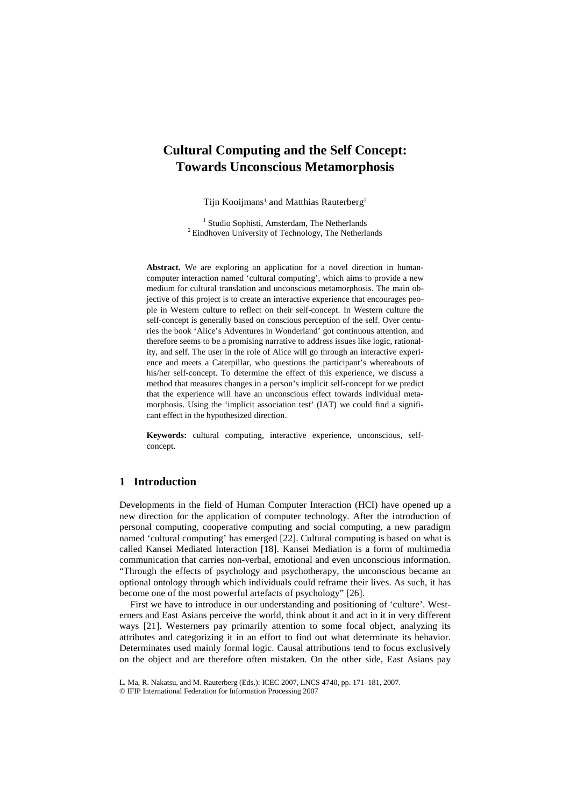# **Cultural Computing and the Self Concept: Towards Unconscious Metamorphosis**

Tijn Kooijmans<sup>1</sup> and Matthias Rauterberg<sup>2</sup>

<sup>1</sup> Studio Sophisti, Amsterdam, The Netherlands  $2$  Eindhoven University of Technology, The Netherlands

**Abstract.** We are exploring an application for a novel direction in humancomputer interaction named 'cultural computing', which aims to provide a new medium for cultural translation and unconscious metamorphosis. The main objective of this project is to create an interactive experience that encourages people in Western culture to reflect on their self-concept. In Western culture the self-concept is generally based on conscious perception of the self. Over centuries the book 'Alice's Adventures in Wonderland' got continuous attention, and therefore seems to be a promising narrative to address issues like logic, rationality, and self. The user in the role of Alice will go through an interactive experience and meets a Caterpillar, who questions the participant's whereabouts of his/her self-concept. To determine the effect of this experience, we discuss a method that measures changes in a person's implicit self-concept for we predict that the experience will have an unconscious effect towards individual metamorphosis. Using the 'implicit association test' (IAT) we could find a significant effect in the hypothesized direction.

**Keywords:** cultural computing, interactive experience, unconscious, selfconcept.

# **1 Introduction**

Developments in the field of Human Computer Interaction (HCI) have opened up a new direction for the application of computer technology. After the introduction of personal computing, cooperative computing and social computing, a new paradigm named 'cultural computing' has emerged [22]. Cultural computing is based on what is called Kansei Mediated Interaction [18]. Kansei Mediation is a form of multimedia communication that carries non-verbal, emotional and even unconscious information. "Through the effects of psychology and psychotherapy, the unconscious became an optional ontology through which individuals could reframe their lives. As such, it has become one of the most powerful artefacts of psychology" [26].

First we have to introduce in our understanding and positioning of 'culture'. Westerners and East Asians perceive the world, think about it and act in it in very different ways [21]. Westerners pay primarily attention to some focal object, analyzing its attributes and categorizing it in an effort to find out what determinate its behavior. Determinates used mainly formal logic. Causal attributions tend to focus exclusively on the object and are therefore often mistaken. On the other side, East Asians pay

L. Ma, R. Nakatsu, and M. Rauterberg (Eds.): ICEC 2007, LNCS 4740, pp. 171–181, 2007.

<sup>©</sup> IFIP International Federation for Information Processing 2007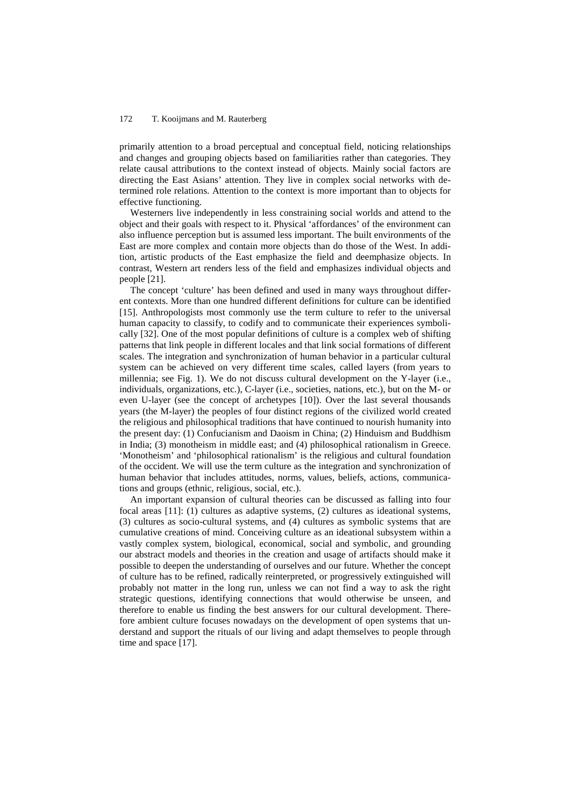primarily attention to a broad perceptual and conceptual field, noticing relationships and changes and grouping objects based on familiarities rather than categories. They relate causal attributions to the context instead of objects. Mainly social factors are directing the East Asians' attention. They live in complex social networks with determined role relations. Attention to the context is more important than to objects for effective functioning.

Westerners live independently in less constraining social worlds and attend to the object and their goals with respect to it. Physical 'affordances' of the environment can also influence perception but is assumed less important. The built environments of the East are more complex and contain more objects than do those of the West. In addition, artistic products of the East emphasize the field and deemphasize objects. In contrast, Western art renders less of the field and emphasizes individual objects and people [21].

The concept 'culture' has been defined and used in many ways throughout different contexts. More than one hundred different definitions for culture can be identified [15]. Anthropologists most commonly use the term culture to refer to the universal human capacity to classify, to codify and to communicate their experiences symbolically [32]. One of the most popular definitions of culture is a complex web of shifting patterns that link people in different locales and that link social formations of different scales. The integration and synchronization of human behavior in a particular cultural system can be achieved on very different time scales, called layers (from years to millennia; see Fig. 1). We do not discuss cultural development on the Y-layer (i.e., individuals, organizations, etc.), C-layer (i.e., societies, nations, etc.), but on the M- or even U-layer (see the concept of archetypes [10]). Over the last several thousands years (the M-layer) the peoples of four distinct regions of the civilized world created the religious and philosophical traditions that have continued to nourish humanity into the present day: (1) Confucianism and Daoism in China; (2) Hinduism and Buddhism in India; (3) monotheism in middle east; and (4) philosophical rationalism in Greece. 'Monotheism' and 'philosophical rationalism' is the religious and cultural foundation of the occident. We will use the term culture as the integration and synchronization of human behavior that includes attitudes, norms, values, beliefs, actions, communications and groups (ethnic, religious, social, etc.).

An important expansion of cultural theories can be discussed as falling into four focal areas [11]: (1) cultures as adaptive systems, (2) cultures as ideational systems, (3) cultures as socio-cultural systems, and (4) cultures as symbolic systems that are cumulative creations of mind. Conceiving culture as an ideational subsystem within a vastly complex system, biological, economical, social and symbolic, and grounding our abstract models and theories in the creation and usage of artifacts should make it possible to deepen the understanding of ourselves and our future. Whether the concept of culture has to be refined, radically reinterpreted, or progressively extinguished will probably not matter in the long run, unless we can not find a way to ask the right strategic questions, identifying connections that would otherwise be unseen, and therefore to enable us finding the best answers for our cultural development. Therefore ambient culture focuses nowadays on the development of open systems that understand and support the rituals of our living and adapt themselves to people through time and space [17].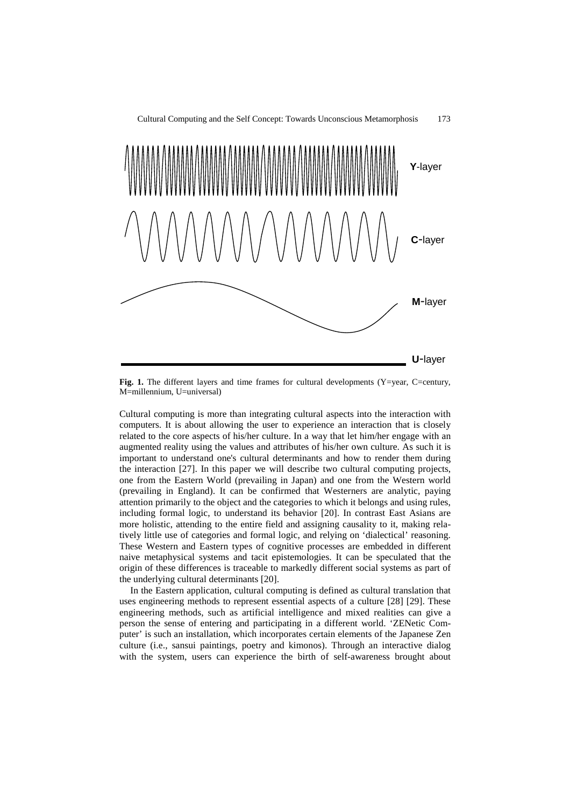

Fig. 1. The different layers and time frames for cultural developments (Y=year, C=century, M=millennium, U=universal)

Cultural computing is more than integrating cultural aspects into the interaction with computers. It is about allowing the user to experience an interaction that is closely related to the core aspects of his/her culture. In a way that let him/her engage with an augmented reality using the values and attributes of his/her own culture. As such it is important to understand one's cultural determinants and how to render them during the interaction [27]. In this paper we will describe two cultural computing projects, one from the Eastern World (prevailing in Japan) and one from the Western world (prevailing in England). It can be confirmed that Westerners are analytic, paying attention primarily to the object and the categories to which it belongs and using rules, including formal logic, to understand its behavior [20]. In contrast East Asians are more holistic, attending to the entire field and assigning causality to it, making relatively little use of categories and formal logic, and relying on 'dialectical' reasoning. These Western and Eastern types of cognitive processes are embedded in different naive metaphysical systems and tacit epistemologies. It can be speculated that the origin of these differences is traceable to markedly different social systems as part of the underlying cultural determinants [20].

In the Eastern application, cultural computing is defined as cultural translation that uses engineering methods to represent essential aspects of a culture [28] [29]. These engineering methods, such as artificial intelligence and mixed realities can give a person the sense of entering and participating in a different world. 'ZENetic Computer' is such an installation, which incorporates certain elements of the Japanese Zen culture (i.e., sansui paintings, poetry and kimonos). Through an interactive dialog with the system, users can experience the birth of self-awareness brought about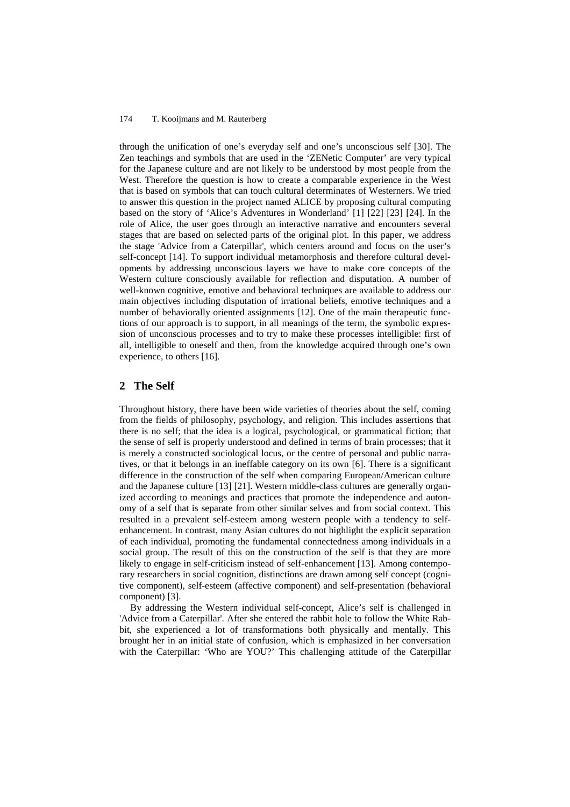through the unification of one's everyday self and one's unconscious self [30]. The Zen teachings and symbols that are used in the 'ZENetic Computer' are very typical for the Japanese culture and are not likely to be understood by most people from the West. Therefore the question is how to create a comparable experience in the West that is based on symbols that can touch cultural determinates of Westerners. We tried to answer this question in the project named ALICE by proposing cultural computing based on the story of 'Alice's Adventures in Wonderland' [1] [22] [23] [24]. In the role of Alice, the user goes through an interactive narrative and encounters several stages that are based on selected parts of the original plot. In this paper, we address the stage 'Advice from a Caterpillar', which centers around and focus on the user's self-concept [14]. To support individual metamorphosis and therefore cultural developments by addressing unconscious layers we have to make core concepts of the Western culture consciously available for reflection and disputation. A number of well-known cognitive, emotive and behavioral techniques are available to address our main objectives including disputation of irrational beliefs, emotive techniques and a number of behaviorally oriented assignments [12]. One of the main therapeutic functions of our approach is to support, in all meanings of the term, the symbolic expression of unconscious processes and to try to make these processes intelligible: first of all, intelligible to oneself and then, from the knowledge acquired through one's own experience, to others [16].

# **2 The Self**

Throughout history, there have been wide varieties of theories about the self, coming from the fields of philosophy, psychology, and religion. This includes assertions that there is no self; that the idea is a logical, psychological, or grammatical fiction; that the sense of self is properly understood and defined in terms of brain processes; that it is merely a constructed sociological locus, or the centre of personal and public narratives, or that it belongs in an ineffable category on its own [6]. There is a significant difference in the construction of the self when comparing European/American culture and the Japanese culture [13] [21]. Western middle-class cultures are generally organized according to meanings and practices that promote the independence and autonomy of a self that is separate from other similar selves and from social context. This resulted in a prevalent self-esteem among western people with a tendency to selfenhancement. In contrast, many Asian cultures do not highlight the explicit separation of each individual, promoting the fundamental connectedness among individuals in a social group. The result of this on the construction of the self is that they are more likely to engage in self-criticism instead of self-enhancement [13]. Among contemporary researchers in social cognition, distinctions are drawn among self concept (cognitive component), self-esteem (affective component) and self-presentation (behavioral component) [3].

By addressing the Western individual self-concept, Alice's self is challenged in 'Advice from a Caterpillar'. After she entered the rabbit hole to follow the White Rabbit, she experienced a lot of transformations both physically and mentally. This brought her in an initial state of confusion, which is emphasized in her conversation with the Caterpillar: 'Who are YOU?' This challenging attitude of the Caterpillar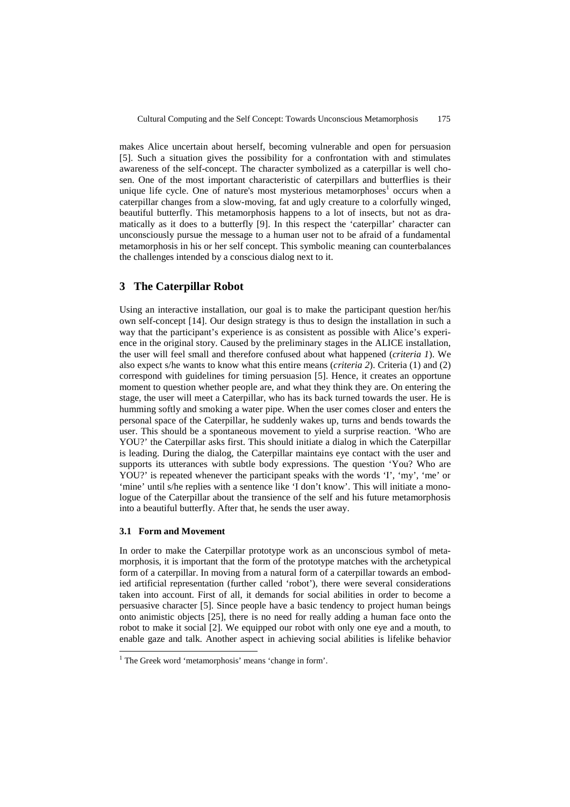makes Alice uncertain about herself, becoming vulnerable and open for persuasion [5]. Such a situation gives the possibility for a confrontation with and stimulates awareness of the self-concept. The character symbolized as a caterpillar is well chosen. One of the most important characteristic of caterpillars and butterflies is their unique life cycle. One of nature's most mysterious metamorphoses<sup>1</sup> occurs when a caterpillar changes from a slow-moving, fat and ugly creature to a colorfully winged, beautiful butterfly. This metamorphosis happens to a lot of insects, but not as dramatically as it does to a butterfly [9]. In this respect the 'caterpillar' character can unconsciously pursue the message to a human user not to be afraid of a fundamental metamorphosis in his or her self concept. This symbolic meaning can counterbalances the challenges intended by a conscious dialog next to it.

## **3 The Caterpillar Robot**

Using an interactive installation, our goal is to make the participant question her/his own self-concept [14]. Our design strategy is thus to design the installation in such a way that the participant's experience is as consistent as possible with Alice's experience in the original story. Caused by the preliminary stages in the ALICE installation, the user will feel small and therefore confused about what happened (*criteria 1*). We also expect s/he wants to know what this entire means (*criteria 2*). Criteria (1) and (2) correspond with guidelines for timing persuasion [5]. Hence, it creates an opportune moment to question whether people are, and what they think they are. On entering the stage, the user will meet a Caterpillar, who has its back turned towards the user. He is humming softly and smoking a water pipe. When the user comes closer and enters the personal space of the Caterpillar, he suddenly wakes up, turns and bends towards the user. This should be a spontaneous movement to yield a surprise reaction. 'Who are YOU?' the Caterpillar asks first. This should initiate a dialog in which the Caterpillar is leading. During the dialog, the Caterpillar maintains eye contact with the user and supports its utterances with subtle body expressions. The question 'You? Who are YOU?' is repeated whenever the participant speaks with the words 'I', 'my', 'me' or 'mine' until s/he replies with a sentence like 'I don't know'. This will initiate a monologue of the Caterpillar about the transience of the self and his future metamorphosis into a beautiful butterfly. After that, he sends the user away.

### **3.1 Form and Movement**

In order to make the Caterpillar prototype work as an unconscious symbol of metamorphosis, it is important that the form of the prototype matches with the archetypical form of a caterpillar. In moving from a natural form of a caterpillar towards an embodied artificial representation (further called 'robot'), there were several considerations taken into account. First of all, it demands for social abilities in order to become a persuasive character [5]. Since people have a basic tendency to project human beings onto animistic objects [25], there is no need for really adding a human face onto the robot to make it social [2]. We equipped our robot with only one eye and a mouth, to enable gaze and talk. Another aspect in achieving social abilities is lifelike behavior

 1 The Greek word 'metamorphosis' means 'change in form'.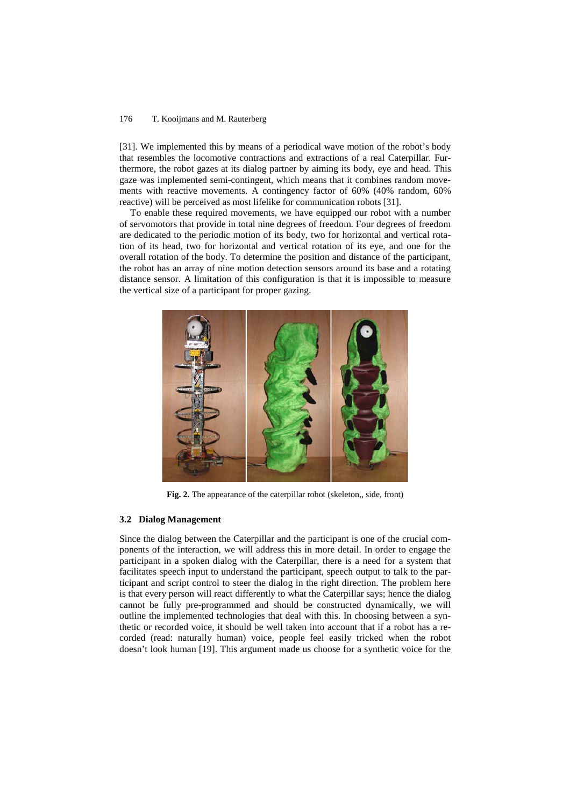[31]. We implemented this by means of a periodical wave motion of the robot's body that resembles the locomotive contractions and extractions of a real Caterpillar. Furthermore, the robot gazes at its dialog partner by aiming its body, eye and head. This gaze was implemented semi-contingent, which means that it combines random movements with reactive movements. A contingency factor of 60% (40% random, 60% reactive) will be perceived as most lifelike for communication robots [31].

To enable these required movements, we have equipped our robot with a number of servomotors that provide in total nine degrees of freedom. Four degrees of freedom are dedicated to the periodic motion of its body, two for horizontal and vertical rotation of its head, two for horizontal and vertical rotation of its eye, and one for the overall rotation of the body. To determine the position and distance of the participant, the robot has an array of nine motion detection sensors around its base and a rotating distance sensor. A limitation of this configuration is that it is impossible to measure the vertical size of a participant for proper gazing.



**Fig. 2.** The appearance of the caterpillar robot (skeleton,, side, front)

#### **3.2 Dialog Management**

Since the dialog between the Caterpillar and the participant is one of the crucial components of the interaction, we will address this in more detail. In order to engage the participant in a spoken dialog with the Caterpillar, there is a need for a system that facilitates speech input to understand the participant, speech output to talk to the participant and script control to steer the dialog in the right direction. The problem here is that every person will react differently to what the Caterpillar says; hence the dialog cannot be fully pre-programmed and should be constructed dynamically, we will outline the implemented technologies that deal with this. In choosing between a synthetic or recorded voice, it should be well taken into account that if a robot has a recorded (read: naturally human) voice, people feel easily tricked when the robot doesn't look human [19]. This argument made us choose for a synthetic voice for the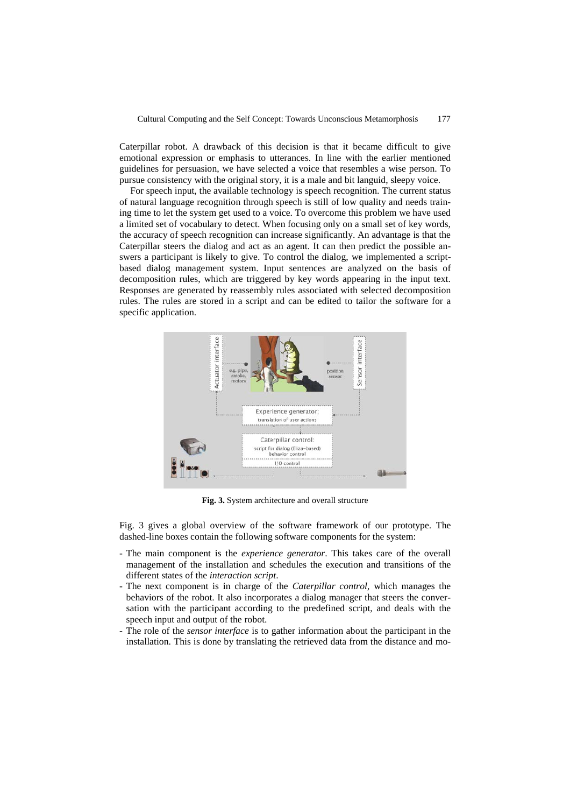Caterpillar robot. A drawback of this decision is that it became difficult to give emotional expression or emphasis to utterances. In line with the earlier mentioned guidelines for persuasion, we have selected a voice that resembles a wise person. To pursue consistency with the original story, it is a male and bit languid, sleepy voice.

For speech input, the available technology is speech recognition. The current status of natural language recognition through speech is still of low quality and needs training time to let the system get used to a voice. To overcome this problem we have used a limited set of vocabulary to detect. When focusing only on a small set of key words, the accuracy of speech recognition can increase significantly. An advantage is that the Caterpillar steers the dialog and act as an agent. It can then predict the possible answers a participant is likely to give. To control the dialog, we implemented a scriptbased dialog management system. Input sentences are analyzed on the basis of decomposition rules, which are triggered by key words appearing in the input text. Responses are generated by reassembly rules associated with selected decomposition rules. The rules are stored in a script and can be edited to tailor the software for a specific application.



**Fig. 3.** System architecture and overall structure

Fig. 3 gives a global overview of the software framework of our prototype. The dashed-line boxes contain the following software components for the system:

- The main component is the *experience generator*. This takes care of the overall management of the installation and schedules the execution and transitions of the different states of the *interaction script*.
- The next component is in charge of the *Caterpillar control*, which manages the behaviors of the robot. It also incorporates a dialog manager that steers the conversation with the participant according to the predefined script, and deals with the speech input and output of the robot.
- The role of the *sensor interface* is to gather information about the participant in the installation. This is done by translating the retrieved data from the distance and mo-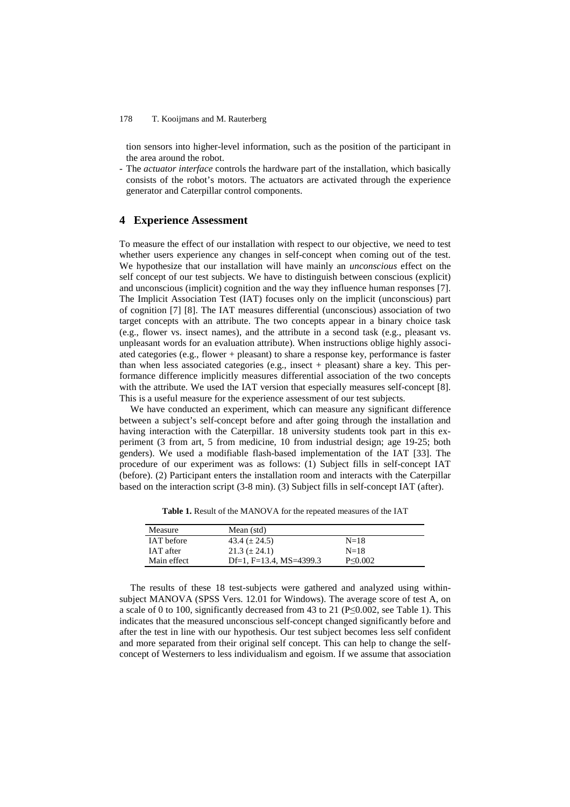tion sensors into higher-level information, such as the position of the participant in the area around the robot.

- The *actuator interface* controls the hardware part of the installation, which basically consists of the robot's motors. The actuators are activated through the experience generator and Caterpillar control components.

### **4 Experience Assessment**

To measure the effect of our installation with respect to our objective, we need to test whether users experience any changes in self-concept when coming out of the test. We hypothesize that our installation will have mainly an *unconscious* effect on the self concept of our test subjects. We have to distinguish between conscious (explicit) and unconscious (implicit) cognition and the way they influence human responses [7]. The Implicit Association Test (IAT) focuses only on the implicit (unconscious) part of cognition [7] [8]. The IAT measures differential (unconscious) association of two target concepts with an attribute. The two concepts appear in a binary choice task (e.g., flower vs. insect names), and the attribute in a second task (e.g., pleasant vs. unpleasant words for an evaluation attribute). When instructions oblige highly associated categories (e.g., flower + pleasant) to share a response key, performance is faster than when less associated categories (e.g., insect + pleasant) share a key. This performance difference implicitly measures differential association of the two concepts with the attribute. We used the IAT version that especially measures self-concept [8]. This is a useful measure for the experience assessment of our test subjects.

We have conducted an experiment, which can measure any significant difference between a subject's self-concept before and after going through the installation and having interaction with the Caterpillar. 18 university students took part in this experiment (3 from art, 5 from medicine, 10 from industrial design; age 19-25; both genders). We used a modifiable flash-based implementation of the IAT [33]. The procedure of our experiment was as follows: (1) Subject fills in self-concept IAT (before). (2) Participant enters the installation room and interacts with the Caterpillar based on the interaction script (3-8 min). (3) Subject fills in self-concept IAT (after).

**Table 1.** Result of the MANOVA for the repeated measures of the IAT

| Measure          | Mean (std)              |               |
|------------------|-------------------------|---------------|
| IAT before       | 43.4 ( $\pm$ 24.5)      | $N=18$        |
| <b>IAT</b> after | $21.3 \ (\pm 24.1)$     | $N=18$        |
| Main effect      | Df=1, F=13.4, MS=4399.3 | $P \le 0.002$ |

The results of these 18 test-subjects were gathered and analyzed using withinsubject MANOVA (SPSS Vers. 12.01 for Windows). The average score of test A, on a scale of 0 to 100, significantly decreased from 43 to 21 ( $P \le 0.002$ , see Table 1). This indicates that the measured unconscious self-concept changed significantly before and after the test in line with our hypothesis. Our test subject becomes less self confident and more separated from their original self concept. This can help to change the selfconcept of Westerners to less individualism and egoism. If we assume that association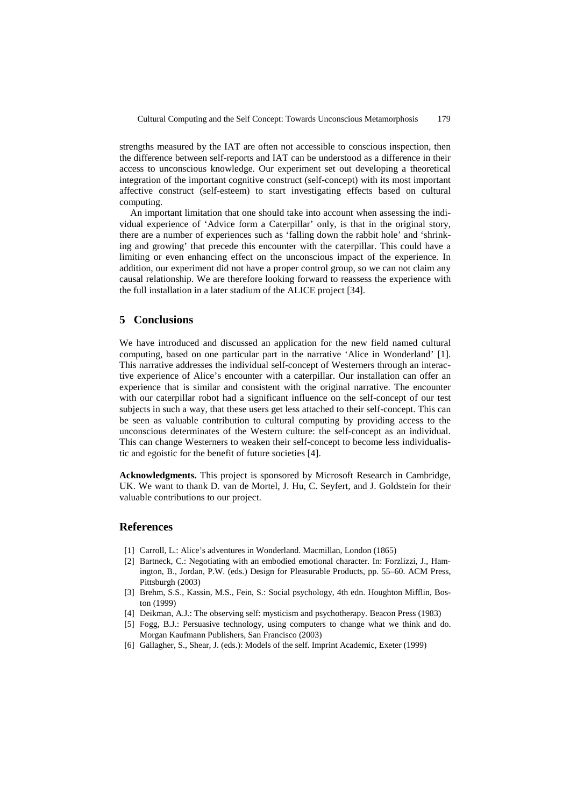strengths measured by the IAT are often not accessible to conscious inspection, then the difference between self-reports and IAT can be understood as a difference in their access to unconscious knowledge. Our experiment set out developing a theoretical integration of the important cognitive construct (self-concept) with its most important affective construct (self-esteem) to start investigating effects based on cultural computing.

An important limitation that one should take into account when assessing the individual experience of 'Advice form a Caterpillar' only, is that in the original story, there are a number of experiences such as 'falling down the rabbit hole' and 'shrinking and growing' that precede this encounter with the caterpillar. This could have a limiting or even enhancing effect on the unconscious impact of the experience. In addition, our experiment did not have a proper control group, so we can not claim any causal relationship. We are therefore looking forward to reassess the experience with the full installation in a later stadium of the ALICE project [34].

# **5 Conclusions**

We have introduced and discussed an application for the new field named cultural computing, based on one particular part in the narrative 'Alice in Wonderland' [1]. This narrative addresses the individual self-concept of Westerners through an interactive experience of Alice's encounter with a caterpillar. Our installation can offer an experience that is similar and consistent with the original narrative. The encounter with our caterpillar robot had a significant influence on the self-concept of our test subjects in such a way, that these users get less attached to their self-concept. This can be seen as valuable contribution to cultural computing by providing access to the unconscious determinates of the Western culture: the self-concept as an individual. This can change Westerners to weaken their self-concept to become less individualistic and egoistic for the benefit of future societies [4].

**Acknowledgments.** This project is sponsored by Microsoft Research in Cambridge, UK. We want to thank D. van de Mortel, J. Hu, C. Seyfert, and J. Goldstein for their valuable contributions to our project.

### **References**

- [1] Carroll, L.: Alice's adventures in Wonderland. Macmillan, London (1865)
- [2] Bartneck, C.: Negotiating with an embodied emotional character. In: Forzlizzi, J., Hamington, B., Jordan, P.W. (eds.) Design for Pleasurable Products, pp. 55–60. ACM Press, Pittsburgh (2003)
- [3] Brehm, S.S., Kassin, M.S., Fein, S.: Social psychology, 4th edn. Houghton Mifflin, Boston (1999)
- [4] Deikman, A.J.: The observing self: mysticism and psychotherapy. Beacon Press (1983)
- [5] Fogg, B.J.: Persuasive technology, using computers to change what we think and do. Morgan Kaufmann Publishers, San Francisco (2003)
- [6] Gallagher, S., Shear, J. (eds.): Models of the self. Imprint Academic, Exeter (1999)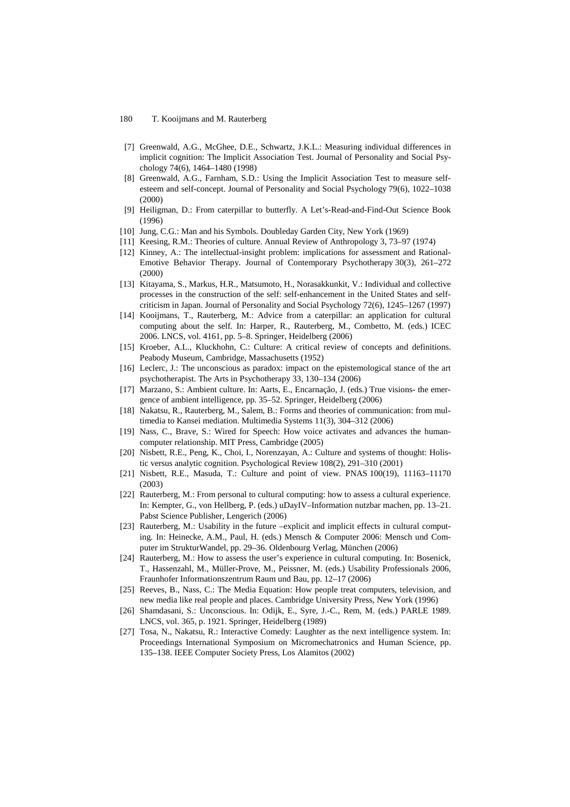- [7] Greenwald, A.G., McGhee, D.E., Schwartz, J.K.L.: Measuring individual differences in implicit cognition: The Implicit Association Test. Journal of Personality and Social Psychology 74(6), 1464–1480 (1998)
- [8] Greenwald, A.G., Farnham, S.D.: Using the Implicit Association Test to measure selfesteem and self-concept. Journal of Personality and Social Psychology 79(6), 1022–1038 (2000)
- [9] Heiligman, D.: From caterpillar to butterfly. A Let's-Read-and-Find-Out Science Book (1996)
- [10] Jung, C.G.: Man and his Symbols. Doubleday Garden City, New York (1969)
- [11] Keesing, R.M.: Theories of culture. Annual Review of Anthropology 3, 73–97 (1974)
- [12] Kinney, A.: The intellectual-insight problem: implications for assessment and Rational-Emotive Behavior Therapy. Journal of Contemporary Psychotherapy 30(3), 261–272 (2000)
- [13] Kitayama, S., Markus, H.R., Matsumoto, H., Norasakkunkit, V.: Individual and collective processes in the construction of the self: self-enhancement in the United States and selfcriticism in Japan. Journal of Personality and Social Psychology 72(6), 1245–1267 (1997)
- [14] Kooijmans, T., Rauterberg, M.: Advice from a caterpillar: an application for cultural computing about the self. In: Harper, R., Rauterberg, M., Combetto, M. (eds.) ICEC 2006. LNCS, vol. 4161, pp. 5–8. Springer, Heidelberg (2006)
- [15] Kroeber, A.L., Kluckhohn, C.: Culture: A critical review of concepts and definitions. Peabody Museum, Cambridge, Massachusetts (1952)
- [16] Leclerc, J.: The unconscious as paradox: impact on the epistemological stance of the art psychotherapist. The Arts in Psychotherapy 33, 130–134 (2006)
- [17] Marzano, S.: Ambient culture. In: Aarts, E., Encarnação, J. (eds.) True visions- the emergence of ambient intelligence, pp. 35–52. Springer, Heidelberg (2006)
- [18] Nakatsu, R., Rauterberg, M., Salem, B.: Forms and theories of communication: from multimedia to Kansei mediation. Multimedia Systems 11(3), 304–312 (2006)
- [19] Nass, C., Brave, S.: Wired for Speech: How voice activates and advances the humancomputer relationship. MIT Press, Cambridge (2005)
- [20] Nisbett, R.E., Peng, K., Choi, I., Norenzayan, A.: Culture and systems of thought: Holistic versus analytic cognition. Psychological Review 108(2), 291–310 (2001)
- [21] Nisbett, R.E., Masuda, T.: Culture and point of view. PNAS 100(19), 11163–11170 (2003)
- [22] Rauterberg, M.: From personal to cultural computing: how to assess a cultural experience. In: Kempter, G., von Hellberg, P. (eds.) uDayIV–Information nutzbar machen, pp. 13–21. Pabst Science Publisher, Lengerich (2006)
- [23] Rauterberg, M.: Usability in the future –explicit and implicit effects in cultural computing. In: Heinecke, A.M., Paul, H. (eds.) Mensch & Computer 2006: Mensch und Computer im StrukturWandel, pp. 29–36. Oldenbourg Verlag, München (2006)
- [24] Rauterberg, M.: How to assess the user's experience in cultural computing. In: Bosenick, T., Hassenzahl, M., Müller-Prove, M., Peissner, M. (eds.) Usability Professionals 2006, Fraunhofer Informationszentrum Raum und Bau, pp. 12–17 (2006)
- [25] Reeves, B., Nass, C.: The Media Equation: How people treat computers, television, and new media like real people and places. Cambridge University Press, New York (1996)
- [26] Shamdasani, S.: Unconscious. In: Odijk, E., Syre, J.-C., Rem, M. (eds.) PARLE 1989. LNCS, vol. 365, p. 1921. Springer, Heidelberg (1989)
- [27] Tosa, N., Nakatsu, R.: Interactive Comedy: Laughter as the next intelligence system. In: Proceedings International Symposium on Micromechatronics and Human Science, pp. 135–138. IEEE Computer Society Press, Los Alamitos (2002)